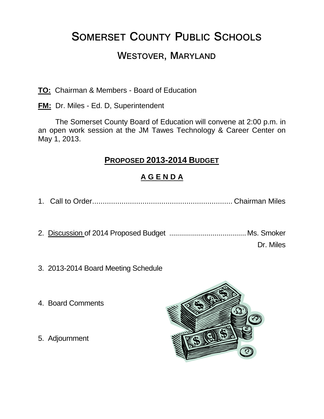# **SOMERSET COUNTY PUBLIC SCHOOLS**

# **WESTOVER, MARYLAND**

**TO:** Chairman & Members - Board of Education

**FM:** Dr. Miles - Ed. D, Superintendent

The Somerset County Board of Education will convene at 2:00 p.m. in an open work session at the JM Tawes Technology & Career Center on May 1, 2013.

### **PROPOSED 2013-2014 BUDGET**

### **A G E N D A**

1. Call to Order................................................................... Chairman Miles

- 2. Discussion of 2014 Proposed Budget ....................................... Ms. Smoker Dr. Miles
- 3. 2013-2014 Board Meeting Schedule
- 4. Board Comments
- 5. Adjournment

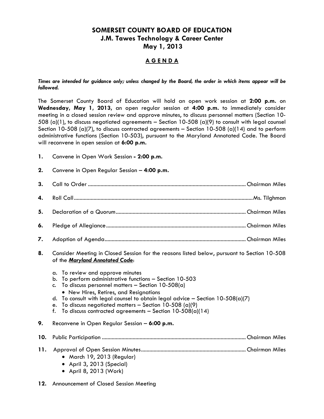#### **SOMERSET COUNTY BOARD OF EDUCATION J.M. Tawes Technology & Career Center May 1, 2013**

#### **A G E N D A**

*Times are intended for guidance only; unless changed by the Board, the order in which items appear will be followed.*

The Somerset County Board of Education will hold an open work session at **2:00 p.m.** on **Wednesday, May 1, 2013,** an open regular session at **4:00 p.m.** to immediately consider meeting in a closed session review and approve minutes, to discuss personnel matters (Section 10- 508 (a)(1), to discuss negotiated agreements – Section 10-508 (a)(9) to consult with legal counsel Section 10-508 (a)(7), to discuss contracted agreements – Section 10-508 (a)(14) and to perform administrative functions (Section 10-503), pursuant to the Maryland Annotated Code. The Board will reconvene in open session at **6:00 p.m.**

- **1.** Convene in Open Work Session **- 2:00 p.m.**
- **2.** Convene in Open Regular Session **4:00 p.m.**

- **8.** Consider Meeting in Closed Session for the reasons listed below, pursuant to Section 10-508 of the *Maryland Annotated Code*:
	- a. To review and approve minutes
	- b. To perform administrative functions Section 10-503
	- c. To discuss personnel matters Section  $10-508(a)$ New Hires, Retires, and Resignations
	- d. To consult with legal counsel to obtain legal advice Section 10-508(a)(7)
	- e. To discuss negotiated matters Section 10-508 (a)(9)
	- f. To discuss contracted agreements Section  $10-508(a)(14)$
- **9.** Reconvene in Open Regular Session **6:00 p.m.**

#### **10.** Public Participation ....................................................................................................... Chairman Miles

#### **11.** Approval of Open Session Minutes........................................................................... Chairman Miles

- March 19, 2013 (Regular)
- April 3, 2013 (Special)
- April 8, 2013 (Work)
- **12.** Announcement of Closed Session Meeting